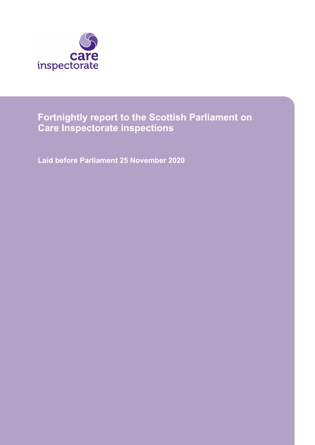

# **Fortnightly report to the Scottish Parliament on Care Inspectorate inspections**

**Laid before Parliament 25 November 2020**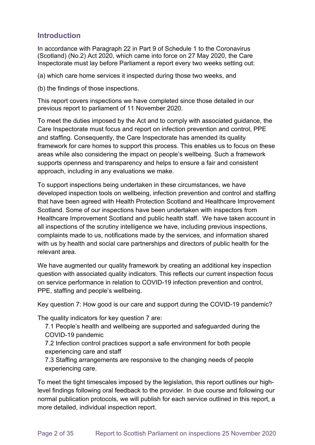## **Introduction**

In accordance with Paragraph 22 in Part 9 of Schedule 1 to the Coronavirus (Scotland) (No.2) Act 2020, which came into force on 27 May 2020, the Care Inspectorate must lay before Parliament a report every two weeks setting out:

(a) which care home services it inspected during those two weeks, and

(b) the findings of those inspections.

This report covers inspections we have completed since those detailed in our previous report to parliament of 11 November 2020.

To meet the duties imposed by the Act and to comply with associated guidance, the Care Inspectorate must focus and report on infection prevention and control, PPE and staffing. Consequently, the Care Inspectorate has amended its quality framework for care homes to support this process. This enables us to focus on these areas while also considering the impact on people's wellbeing. Such a framework supports openness and transparency and helps to ensure a fair and consistent approach, including in any evaluations we make.

To support inspections being undertaken in these circumstances, we have developed inspection tools on wellbeing, infection prevention and control and staffing that have been agreed with Health Protection Scotland and Healthcare Improvement Scotland. Some of our inspections have been undertaken with inspectors from Healthcare Improvement Scotland and public health staff. We have taken account in all inspections of the scrutiny intelligence we have, including previous inspections, complaints made to us, notifications made by the services, and information shared with us by health and social care partnerships and directors of public health for the relevant area.

We have augmented our quality framework by creating an additional key inspection question with associated quality indicators. This reflects our current inspection focus on service performance in relation to COVID-19 infection prevention and control, PPE, staffing and people's wellbeing.

Key question 7: How good is our care and support during the COVID-19 pandemic?

The quality indicators for key question 7 are:

7.1 People's health and wellbeing are supported and safeguarded during the COVID-19 pandemic

7.2 Infection control practices support a safe environment for both people experiencing care and staff

7.3 Staffing arrangements are responsive to the changing needs of people experiencing care.

To meet the tight timescales imposed by the legislation, this report outlines our highlevel findings following oral feedback to the provider. In due course and following our normal publication protocols, we will publish for each service outlined in this report, a more detailed, individual inspection report.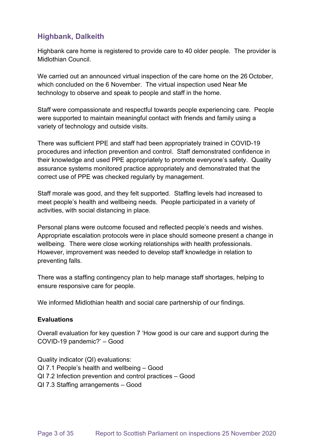## **Highbank, Dalkeith**

Highbank care home is registered to provide care to 40 older people. The provider is Midlothian Council.

We carried out an announced virtual inspection of the care home on the 26 October, which concluded on the 6 November. The virtual inspection used Near Me technology to observe and speak to people and staff in the home.

Staff were compassionate and respectful towards people experiencing care. People were supported to maintain meaningful contact with friends and family using a variety of technology and outside visits.

There was sufficient PPE and staff had been appropriately trained in COVID-19 procedures and infection prevention and control. Staff demonstrated confidence in their knowledge and used PPE appropriately to promote everyone's safety. Quality assurance systems monitored practice appropriately and demonstrated that the correct use of PPE was checked regularly by management.

Staff morale was good, and they felt supported. Staffing levels had increased to meet people's health and wellbeing needs. People participated in a variety of activities, with social distancing in place.

Personal plans were outcome focused and reflected people's needs and wishes. Appropriate escalation protocols were in place should someone present a change in wellbeing. There were close working relationships with health professionals. However, improvement was needed to develop staff knowledge in relation to preventing falls.

There was a staffing contingency plan to help manage staff shortages, helping to ensure responsive care for people.

We informed Midlothian health and social care partnership of our findings.

### **Evaluations**

Overall evaluation for key question 7 'How good is our care and support during the COVID-19 pandemic?' – Good

Quality indicator (QI) evaluations: QI 7.1 People's health and wellbeing – Good QI 7.2 Infection prevention and control practices – Good QI 7.3 Staffing arrangements – Good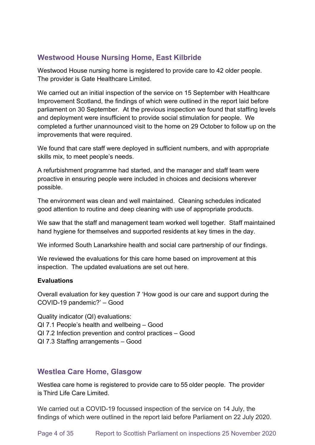## **Westwood House Nursing Home, East Kilbride**

Westwood House nursing home is registered to provide care to 42 older people. The provider is Gate Healthcare Limited.

We carried out an initial inspection of the service on 15 September with Healthcare Improvement Scotland, the findings of which were outlined in the report laid before parliament on 30 September. At the previous inspection we found that staffing levels and deployment were insufficient to provide social stimulation for people. We completed a further unannounced visit to the home on 29 October to follow up on the improvements that were required.

We found that care staff were deployed in sufficient numbers, and with appropriate skills mix, to meet people's needs.

A refurbishment programme had started, and the manager and staff team were proactive in ensuring people were included in choices and decisions wherever possible.

The environment was clean and well maintained. Cleaning schedules indicated good attention to routine and deep cleaning with use of appropriate products.

We saw that the staff and management team worked well together. Staff maintained hand hygiene for themselves and supported residents at key times in the day.

We informed South Lanarkshire health and social care partnership of our findings.

We reviewed the evaluations for this care home based on improvement at this inspection. The updated evaluations are set out here.

### **Evaluations**

Overall evaluation for key question 7 'How good is our care and support during the COVID-19 pandemic?' – Good

Quality indicator (QI) evaluations: QI 7.1 People's health and wellbeing – Good QI 7.2 Infection prevention and control practices – Good

QI 7.3 Staffing arrangements – Good

### **Westlea Care Home, Glasgow**

Westlea care home is registered to provide care to 55 older people.  The provider is Third Life Care Limited.

We carried out a COVID-19 focussed inspection of the service on 14 July, the findings of which were outlined in the report laid before Parliament on 22 July 2020.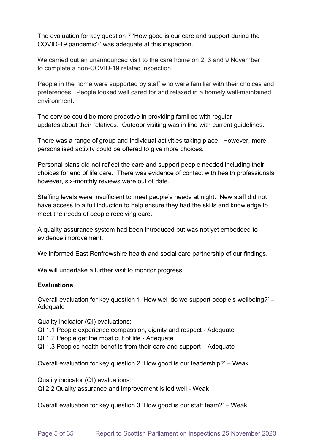The evaluation for key question 7 'How good is our care and support during the COVID-19 pandemic?' was adequate at this inspection.

We carried out an unannounced visit to the care home on 2, 3 and 9 November to complete a non-COVID-19 related inspection.

People in the home were supported by staff who were familiar with their choices and preferences. People looked well cared for and relaxed in a homely well-maintained environment.

The service could be more proactive in providing families with regular updates about their relatives. Outdoor visiting was in line with current guidelines.

There was a range of group and individual activities taking place. However, more personalised activity could be offered to give more choices.

Personal plans did not reflect the care and support people needed including their choices for end of life care. There was evidence of contact with health professionals however, six-monthly reviews were out of date.

Staffing levels were insufficient to meet people's needs at night. New staff did not have access to a full induction to help ensure they had the skills and knowledge to meet the needs of people receiving care.

A quality assurance system had been introduced but was not yet embedded to evidence improvement.

We informed East Renfrewshire health and social care partnership of our findings.

We will undertake a further visit to monitor progress.

### **Evaluations**

Overall evaluation for key question 1 'How well do we support people's wellbeing?' – Adequate

Quality indicator (QI) evaluations: 

QI 1.1 People experience compassion, dignity and respect - Adequate

QI 1.2 People get the most out of life - Adequate

QI 1.3 Peoples health benefits from their care and support -  Adequate 

Overall evaluation for key question 2 'How good is our leadership?' – Weak

Quality indicator (QI) evaluations:  QI 2.2 Quality assurance and improvement is led well - Weak

Overall evaluation for key question 3 'How good is our staff team?' – Weak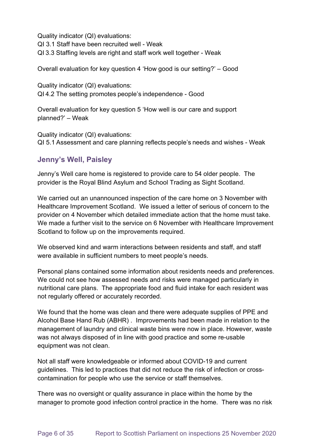Quality indicator (QI) evaluations:  QI 3.1 Staff have been recruited well - Weak QI 3.3 Staffing levels are right and staff work well together - Weak

Overall evaluation for key question 4 'How good is our setting?' – Good

Quality indicator (QI) evaluations:  QI 4.2 The setting promotes people's independence - Good 

Overall evaluation for key question 5 'How well is our care and support planned?' – Weak

Quality indicator (QI) evaluations:  QI 5.1 Assessment and care planning reflects people's needs and wishes - Weak 

## **Jenny's Well, Paisley**

Jenny's Well care home is registered to provide care to 54 older people. The provider is the Royal Blind Asylum and School Trading as Sight Scotland.

We carried out an unannounced inspection of the care home on 3 November with Healthcare Improvement Scotland. We issued a letter of serious of concern to the provider on 4 November which detailed immediate action that the home must take. We made a further visit to the service on 6 November with Healthcare Improvement Scotland to follow up on the improvements required.

We observed kind and warm interactions between residents and staff, and staff were available in sufficient numbers to meet people's needs.

Personal plans contained some information about residents needs and preferences. We could not see how assessed needs and risks were managed particularly in nutritional care plans. The appropriate food and fluid intake for each resident was not regularly offered or accurately recorded.

We found that the home was clean and there were adequate supplies of PPE and Alcohol Base Hand Rub (ABHR) . Improvements had been made in relation to the management of laundry and clinical waste bins were now in place. However, waste was not always disposed of in line with good practice and some re-usable equipment was not clean.

Not all staff were knowledgeable or informed about COVID-19 and current guidelines. This led to practices that did not reduce the risk of infection or crosscontamination for people who use the service or staff themselves.

There was no oversight or quality assurance in place within the home by the manager to promote good infection control practice in the home. There was no risk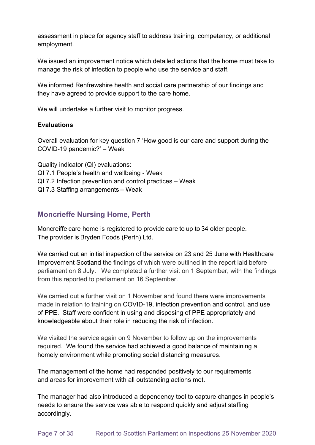assessment in place for agency staff to address training, competency, or additional employment.

We issued an improvement notice which detailed actions that the home must take to manage the risk of infection to people who use the service and staff.

We informed Renfrewshire health and social care partnership of our findings and they have agreed to provide support to the care home.

We will undertake a further visit to monitor progress.

### **Evaluations**

Overall evaluation for key question 7 'How good is our care and support during the COVID-19 pandemic?' – Weak

Quality indicator (QI) evaluations: QI 7.1 People's health and wellbeing - Weak QI 7.2 Infection prevention and control practices – Weak QI 7.3 Staffing arrangements – Weak

## **Moncrieffe Nursing Home, Perth**

Moncreiffe care home is registered to provide care to up to 34 older people.  The provider is Bryden Foods (Perth) Ltd. 

We carried out an initial inspection of the service on 23 and 25 June with Healthcare Improvement Scotland the findings of which were outlined in the report laid before parliament on 8 July. We completed a further visit on 1 September, with the findings from this reported to parliament on 16 September.

We carried out a further visit on 1 November and found there were improvements made in relation to training on COVID-19, infection prevention and control, and use of PPE. Staff were confident in using and disposing of PPE appropriately and knowledgeable about their role in reducing the risk of infection.

We visited the service again on 9 November to follow up on the improvements required. We found the service had achieved a good balance of maintaining a homely environment while promoting social distancing measures.

The management of the home had responded positively to our requirements and areas for improvement with all outstanding actions met.

The manager had also introduced a dependency tool to capture changes in people's needs to ensure the service was able to respond quickly and adjust staffing accordingly.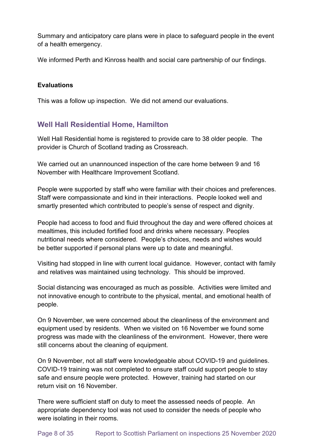Summary and anticipatory care plans were in place to safeguard people in the event of a health emergency.

We informed Perth and Kinross health and social care partnership of our findings.

### **Evaluations**

This was a follow up inspection. We did not amend our evaluations.

## **Well Hall Residential Home, Hamilton**

Well Hall Residential home is registered to provide care to 38 older people. The provider is Church of Scotland trading as Crossreach.

We carried out an unannounced inspection of the care home between 9 and 16 November with Healthcare Improvement Scotland.

People were supported by staff who were familiar with their choices and preferences. Staff were compassionate and kind in their interactions. People looked well and smartly presented which contributed to people's sense of respect and dignity.

People had access to food and fluid throughout the day and were offered choices at mealtimes, this included fortified food and drinks where necessary. Peoples nutritional needs where considered. People's choices, needs and wishes would be better supported if personal plans were up to date and meaningful.

Visiting had stopped in line with current local guidance. However, contact with family and relatives was maintained using technology. This should be improved.

Social distancing was encouraged as much as possible. Activities were limited and not innovative enough to contribute to the physical, mental, and emotional health of people.

On 9 November, we were concerned about the cleanliness of the environment and equipment used by residents. When we visited on 16 November we found some progress was made with the cleanliness of the environment. However, there were still concerns about the cleaning of equipment.

On 9 November, not all staff were knowledgeable about COVID-19 and guidelines. COVID-19 training was not completed to ensure staff could support people to stay safe and ensure people were protected. However, training had started on our return visit on 16 November.

There were sufficient staff on duty to meet the assessed needs of people. An appropriate dependency tool was not used to consider the needs of people who were isolating in their rooms.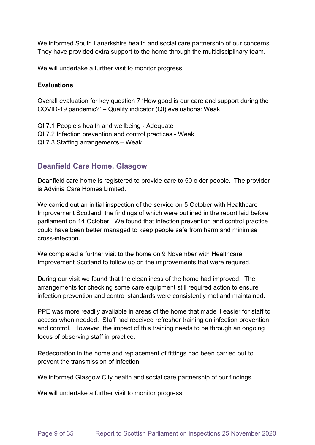We informed South Lanarkshire health and social care partnership of our concerns. They have provided extra support to the home through the multidisciplinary team.

We will undertake a further visit to monitor progress.

#### **Evaluations**

Overall evaluation for key question 7 'How good is our care and support during the COVID-19 pandemic?' – Quality indicator (QI) evaluations: Weak

- QI 7.1 People's health and wellbeing Adequate QI 7.2 Infection prevention and control practices - Weak
- QI 7.3 Staffing arrangements – Weak

## **Deanfield Care Home, Glasgow**

Deanfield care home is registered to provide care to 50 older people. The provider is Advinia Care Homes Limited.

We carried out an initial inspection of the service on 5 October with Healthcare Improvement Scotland, the findings of which were outlined in the report laid before parliament on 14 October. We found that infection prevention and control practice could have been better managed to keep people safe from harm and minimise cross-infection.

We completed a further visit to the home on 9 November with Healthcare Improvement Scotland to follow up on the improvements that were required.

During our visit we found that the cleanliness of the home had improved. The arrangements for checking some care equipment still required action to ensure infection prevention and control standards were consistently met and maintained.

PPE was more readily available in areas of the home that made it easier for staff to access when needed. Staff had received refresher training on infection prevention and control. However, the impact of this training needs to be through an ongoing focus of observing staff in practice.

Redecoration in the home and replacement of fittings had been carried out to prevent the transmission of infection.

We informed Glasgow City health and social care partnership of our findings.

We will undertake a further visit to monitor progress.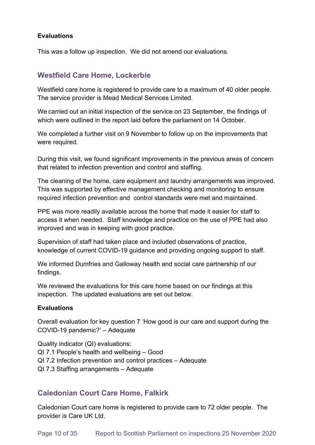### **Evaluations**

This was a follow up inspection. We did not amend our evaluations.

## **Westfield Care Home, Lockerbie**

Westfield care home is registered to provide care to a maximum of 40 older people. The service provider is Mead Medical Services Limited. 

We carried out an initial inspection of the service on 23 September, the findings of which were outlined in the report laid before the parliament on 14 October.

We completed a further visit on 9 November to follow up on the improvements that were required.

During this visit, we found significant improvements in the previous areas of concern that related to infection prevention and control and staffing.

The cleaning of the home, care equipment and laundry arrangements was improved. This was supported by effective management checking and monitoring to ensure required infection prevention and control standards were met and maintained.

PPE was more readily available across the home that made it easier for staff to access it when needed. Staff knowledge and practice on the use of PPE had also improved and was in keeping with good practice.

Supervision of staff had taken place and included observations of practice, knowledge of current COVID-19 guidance and providing ongoing support to staff.

We informed Dumfries and Galloway health and social care partnership of our findings.

We reviewed the evaluations for this care home based on our findings at this inspection. The updated evaluations are set out below.

### **Evaluations**

Overall evaluation for key question 7 'How good is our care and support during the COVID-19 pandemic?' – Adequate

Quality indicator (QI) evaluations: QI 7.1 People's health and wellbeing – Good QI 7.2 Infection prevention and control practices – Adequate QI 7.3 Staffing arrangements – Adequate

## **Caledonian Court Care Home, Falkirk**

Caledonian Court care home is registered to provide care to 72 older people. The provider is Care UK Ltd.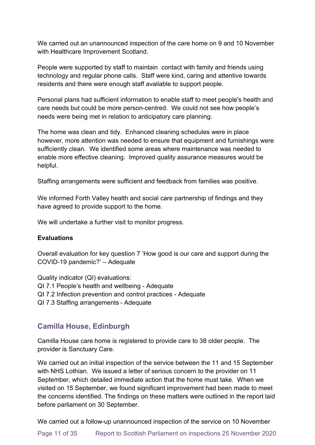We carried out an unannounced inspection of the care home on 9 and 10 November with Healthcare Improvement Scotland.

People were supported by staff to maintain contact with family and friends using technology and regular phone calls. Staff were kind, caring and attentive towards residents and there were enough staff available to support people.

Personal plans had sufficient information to enable staff to meet people's health and care needs but could be more person-centred. We could not see how people's needs were being met in relation to anticipatory care planning.

The home was clean and tidy. Enhanced cleaning schedules were in place however, more attention was needed to ensure that equipment and furnishings were sufficiently clean. We identified some areas where maintenance was needed to enable more effective cleaning. Improved quality assurance measures would be helpful.

Staffing arrangements were sufficient and feedback from families was positive.

We informed Forth Valley health and social care partnership of findings and they have agreed to provide support to the home.

We will undertake a further visit to monitor progress.

#### **Evaluations**

Overall evaluation for key question 7 'How good is our care and support during the COVID-19 pandemic?' – Adequate

Quality indicator (QI) evaluations: QI 7.1 People's health and wellbeing - Adequate

- QI 7.2 Infection prevention and control practices Adequate
- QI 7.3 Staffing arrangements - Adequate

## **Camilla House, Edinburgh**

Camilla House care home is registered to provide care to 38 older people. The provider is Sanctuary Care.

We carried out an initial inspection of the service between the 11 and 15 September with NHS Lothian. We issued a letter of serious concern to the provider on 11 September, which detailed immediate action that the home must take. When we visited on 15 September, we found significant improvement had been made to meet the concerns identified. The findings on these matters were outlined in the report laid before parliament on 30 September.

We carried out a follow-up unannounced inspection of the service on 10 November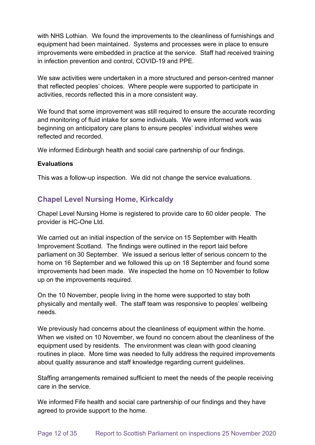with NHS Lothian. We found the improvements to the cleanliness of furnishings and equipment had been maintained. Systems and processes were in place to ensure improvements were embedded in practice at the service. Staff had received training in infection prevention and control, COVID-19 and PPE.

We saw activities were undertaken in a more structured and person-centred manner that reflected peoples' choices. Where people were supported to participate in activities, records reflected this in a more consistent way.

We found that some improvement was still required to ensure the accurate recording and monitoring of fluid intake for some individuals. We were informed work was beginning on anticipatory care plans to ensure peoples' individual wishes were reflected and recorded.

We informed Edinburgh health and social care partnership of our findings.

### **Evaluations**

This was a follow-up inspection. We did not change the service evaluations.

## **Chapel Level Nursing Home, Kirkcaldy**

Chapel Level Nursing Home is registered to provide care to 60 older people. The provider is HC-One Ltd.

We carried out an initial inspection of the service on 15 September with Health Improvement Scotland. The findings were outlined in the report laid before parliament on 30 September. We issued a serious letter of serious concern to the home on 16 September and we followed this up on 18 September and found some improvements had been made. We inspected the home on 10 November to follow up on the improvements required.

On the 10 November, people living in the home were supported to stay both physically and mentally well. The staff team was responsive to peoples' wellbeing needs.

We previously had concerns about the cleanliness of equipment within the home. When we visited on 10 November, we found no concern about the cleanliness of the equipment used by residents. The environment was clean with good cleaning routines in place. More time was needed to fully address the required improvements about quality assurance and staff knowledge regarding current guidelines.

Staffing arrangements remained sufficient to meet the needs of the people receiving care in the service.

We informed Fife health and social care partnership of our findings and they have agreed to provide support to the home.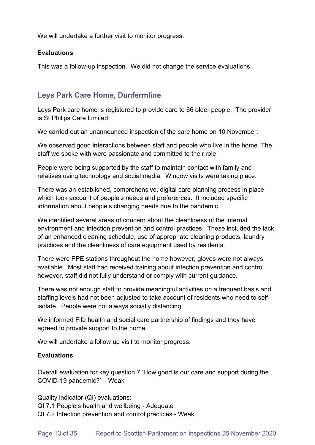We will undertake a further visit to monitor progress.

#### **Evaluations**

This was a follow-up inspection. We did not change the service evaluations.

## **Leys Park Care Home, Dunfermline**

Leys Park care home is registered to provide care to 66 older people. The provider is St Philips Care Limited.

We carried out an unannounced inspection of the care home on 10 November.

We observed good interactions between staff and people who live in the home. The staff we spoke with were passionate and committed to their role.

People were being supported by the staff to maintain contact with family and relatives using technology and social media. Window visits were taking place.

There was an established, comprehensive, digital care planning process in place which took account of people's needs and preferences. It included specific information about people's changing needs due to the pandemic.

We identified several areas of concern about the cleanliness of the internal environment and infection prevention and control practices. These included the lack of an enhanced cleaning schedule, use of appropriate cleaning products, laundry practices and the cleanliness of care equipment used by residents.

There were PPE stations throughout the home however, gloves were not always available. Most staff had received training about infection prevention and control however, staff did not fully understand or comply with current guidance.

There was not enough staff to provide meaningful activities on a frequent basis and staffing levels had not been adjusted to take account of residents who need to selfisolate. People were not always socially distancing.

We informed Fife health and social care partnership of findings and they have agreed to provide support to the home.

We will undertake a follow up visit to monitor progress.

### **Evaluations**

Overall evaluation for key question 7 'How good is our care and support during the COVID-19 pandemic?' – Weak

Quality indicator (QI) evaluations: QI 7.1 People's health and wellbeing - Adequate QI 7.2 Infection prevention and control practices - Weak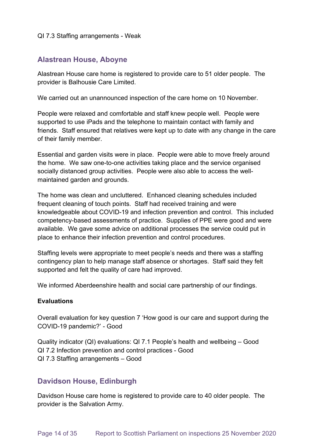#### QI 7.3 Staffing arrangements - Weak

### **Alastrean House, Aboyne**

Alastrean House care home is registered to provide care to 51 older people. The provider is Balhousie Care Limited.

We carried out an unannounced inspection of the care home on 10 November.

People were relaxed and comfortable and staff knew people well. People were supported to use iPads and the telephone to maintain contact with family and friends. Staff ensured that relatives were kept up to date with any change in the care of their family member.

Essential and garden visits were in place. People were able to move freely around the home. We saw one-to-one activities taking place and the service organised socially distanced group activities. People were also able to access the wellmaintained garden and grounds.

The home was clean and uncluttered. Enhanced cleaning schedules included frequent cleaning of touch points. Staff had received training and were knowledgeable about COVID-19 and infection prevention and control. This included competency-based assessments of practice. Supplies of PPE were good and were available. We gave some advice on additional processes the service could put in place to enhance their infection prevention and control procedures.

Staffing levels were appropriate to meet people's needs and there was a staffing contingency plan to help manage staff absence or shortages. Staff said they felt supported and felt the quality of care had improved.

We informed Aberdeenshire health and social care partnership of our findings.

#### **Evaluations**

Overall evaluation for key question 7 'How good is our care and support during the COVID-19 pandemic?' - Good

Quality indicator (QI) evaluations: QI 7.1 People's health and wellbeing – Good QI 7.2 Infection prevention and control practices - Good QI 7.3 Staffing arrangements – Good

### **Davidson House, Edinburgh**

Davidson House care home is registered to provide care to 40 older people. The provider is the Salvation Army.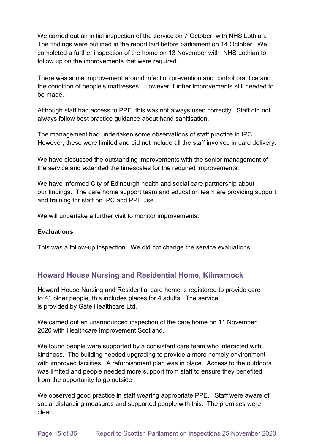We carried out an initial inspection of the service on 7 October, with NHS Lothian. The findings were outlined in the report laid before parliament on 14 October. We completed a further inspection of the home on 13 November with NHS Lothian to follow up on the improvements that were required.

There was some improvement around infection prevention and control practice and the condition of people's mattresses. However, further improvements still needed to be made.

Although staff had access to PPE, this was not always used correctly. Staff did not always follow best practice guidance about hand sanitisation.

The management had undertaken some observations of staff practice in IPC. However, these were limited and did not include all the staff involved in care delivery.

We have discussed the outstanding improvements with the senior management of the service and extended the timescales for the required improvements.

We have informed City of Edinburgh health and social care partnership about our findings. The care home support team and education team are providing support and training for staff on IPC and PPE use.

We will undertake a further visit to monitor improvements.

### **Evaluations**

This was a follow-up inspection. We did not change the service evaluations.

## **Howard House Nursing and Residential Home, Kilmarnock**

Howard House Nursing and Residential care home is registered to provide care to 41 older people, this includes places for 4 adults. The service is provided by Gate Healthcare Ltd.

We carried out an unannounced inspection of the care home on 11 November 2020 with Healthcare Improvement Scotland.

We found people were supported by a consistent care team who interacted with kindness. The building needed upgrading to provide a more homely environment with improved facilities. A refurbishment plan was in place. Access to the outdoors was limited and people needed more support from staff to ensure they benefited from the opportunity to go outside.

We observed good practice in staff wearing appropriate PPE. Staff were aware of social distancing measures and supported people with this. The premises were clean.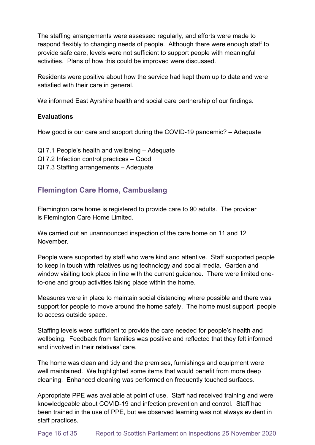The staffing arrangements were assessed regularly, and efforts were made to respond flexibly to changing needs of people. Although there were enough staff to provide safe care, levels were not sufficient to support people with meaningful activities. Plans of how this could be improved were discussed.

Residents were positive about how the service had kept them up to date and were satisfied with their care in general.

We informed East Ayrshire health and social care partnership of our findings.

### **Evaluations**

How good is our care and support during the COVID-19 pandemic? – Adequate

- QI 7.1 People's health and wellbeing Adequate
- QI 7.2 Infection control practices Good
- QI 7.3 Staffing arrangements Adequate

## **Flemington Care Home, Cambuslang**

Flemington care home is registered to provide care to 90 adults. The provider is Flemington Care Home Limited.

We carried out an unannounced inspection of the care home on 11 and 12 November.

People were supported by staff who were kind and attentive. Staff supported people to keep in touch with relatives using technology and social media. Garden and window visiting took place in line with the current guidance. There were limited oneto-one and group activities taking place within the home.

Measures were in place to maintain social distancing where possible and there was support for people to move around the home safely. The home must support people to access outside space.

Staffing levels were sufficient to provide the care needed for people's health and wellbeing. Feedback from families was positive and reflected that they felt informed and involved in their relatives' care.

The home was clean and tidy and the premises, furnishings and equipment were well maintained. We highlighted some items that would benefit from more deep cleaning. Enhanced cleaning was performed on frequently touched surfaces.

Appropriate PPE was available at point of use. Staff had received training and were knowledgeable about COVID-19 and infection prevention and control. Staff had been trained in the use of PPE, but we observed learning was not always evident in staff practices.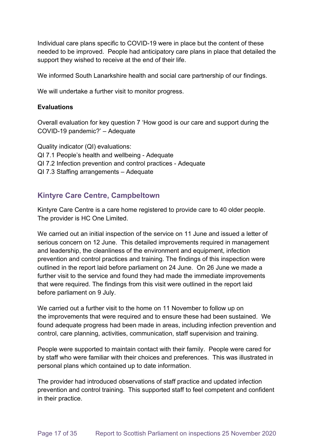Individual care plans specific to COVID-19 were in place but the content of these needed to be improved. People had anticipatory care plans in place that detailed the support they wished to receive at the end of their life.

We informed South Lanarkshire health and social care partnership of our findings.

We will undertake a further visit to monitor progress.

#### **Evaluations**

Overall evaluation for key question 7 'How good is our care and support during the COVID-19 pandemic?' – Adequate

Quality indicator (QI) evaluations: QI 7.1 People's health and wellbeing - Adequate QI 7.2 Infection prevention and control practices - Adequate QI 7.3 Staffing arrangements – Adequate

## **Kintyre Care Centre, Campbeltown**

Kintyre Care Centre is a care home registered to provide care to 40 older people. The provider is HC One Limited.

We carried out an initial inspection of the service on 11 June and issued a letter of serious concern on 12 June. This detailed improvements required in management and leadership, the cleanliness of the environment and equipment, infection prevention and control practices and training. The findings of this inspection were outlined in the report laid before parliament on 24 June. On 26 June we made a further visit to the service and found they had made the immediate improvements that were required. The findings from this visit were outlined in the report laid before parliament on 9 July.

We carried out a further visit to the home on 11 November to follow up on the improvements that were required and to ensure these had been sustained. We found adequate progress had been made in areas, including infection prevention and control, care planning, activities, communication, staff supervision and training.

People were supported to maintain contact with their family. People were cared for by staff who were familiar with their choices and preferences. This was illustrated in personal plans which contained up to date information.

The provider had introduced observations of staff practice and updated infection prevention and control training. This supported staff to feel competent and confident in their practice.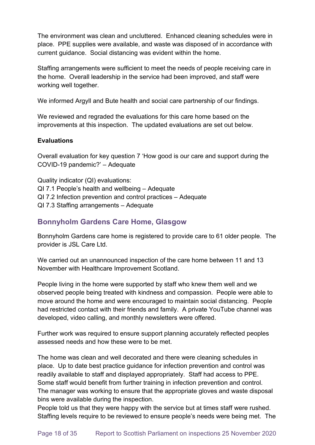The environment was clean and uncluttered. Enhanced cleaning schedules were in place. PPE supplies were available, and waste was disposed of in accordance with current guidance. Social distancing was evident within the home.

Staffing arrangements were sufficient to meet the needs of people receiving care in the home. Overall leadership in the service had been improved, and staff were working well together.

We informed Argyll and Bute health and social care partnership of our findings.

We reviewed and regraded the evaluations for this care home based on the improvements at this inspection. The updated evaluations are set out below.

### **Evaluations**

Overall evaluation for key question 7 'How good is our care and support during the COVID-19 pandemic?' – Adequate

Quality indicator (QI) evaluations: QI 7.1 People's health and wellbeing – Adequate QI 7.2 Infection prevention and control practices – Adequate QI 7.3 Staffing arrangements – Adequate

## **Bonnyholm Gardens Care Home, Glasgow**

Bonnyholm Gardens care home is registered to provide care to 61 older people. The provider is JSL Care Ltd.

We carried out an unannounced inspection of the care home between 11 and 13 November with Healthcare Improvement Scotland.

People living in the home were supported by staff who knew them well and we observed people being treated with kindness and compassion. People were able to move around the home and were encouraged to maintain social distancing. People had restricted contact with their friends and family. A private YouTube channel was developed, video calling, and monthly newsletters were offered.

Further work was required to ensure support planning accurately reflected peoples assessed needs and how these were to be met.

The home was clean and well decorated and there were cleaning schedules in place. Up to date best practice guidance for infection prevention and control was readily available to staff and displayed appropriately. Staff had access to PPE. Some staff would benefit from further training in infection prevention and control. The manager was working to ensure that the appropriate gloves and waste disposal bins were available during the inspection.

People told us that they were happy with the service but at times staff were rushed. Staffing levels require to be reviewed to ensure people's needs were being met. The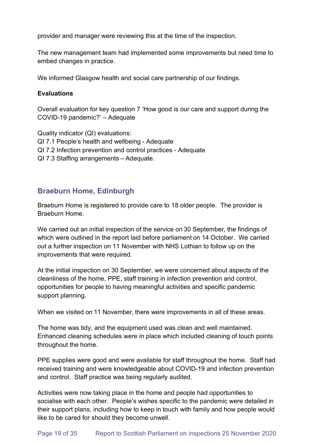provider and manager were reviewing this at the time of the inspection.

The new management team had implemented some improvements but need time to embed changes in practice.

We informed Glasgow health and social care partnership of our findings.

#### **Evaluations**

Overall evaluation for key question 7 'How good is our care and support during the COVID-19 pandemic?' – Adequate

Quality indicator (QI) evaluations: QI 7.1 People's health and wellbeing - Adequate QI 7.2 Infection prevention and control practices - Adequate QI 7.3 Staffing arrangements – Adequate.

## **Braeburn Home, Edinburgh**

Braeburn Home is registered to provide care to 18 older people. The provider is Braeburn Home.

We carried out an initial inspection of the service on 30 September, the findings of which were outlined in the report laid before parliament on 14 October. We carried out a further inspection on 11 November with NHS Lothian to follow up on the improvements that were required.

At the initial inspection on 30 September, we were concerned about aspects of the cleanliness of the home, PPE, staff training in infection prevention and control, opportunities for people to having meaningful activities and specific pandemic support planning.

When we visited on 11 November, there were improvements in all of these areas.

The home was tidy, and the equipment used was clean and well maintained. Enhanced cleaning schedules were in place which included cleaning of touch points throughout the home.

PPE supplies were good and were available for staff throughout the home. Staff had received training and were knowledgeable about COVID-19 and infection prevention and control. Staff practice was being regularly audited.

Activities were now taking place in the home and people had opportunities to socialise with each other. People's wishes specific to the pandemic were detailed in their support plans, including how to keep in touch with family and how people would like to be cared for should they become unwell.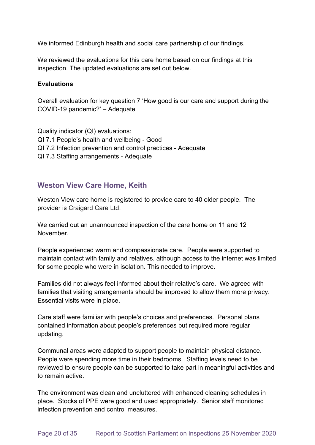We informed Edinburgh health and social care partnership of our findings.

We reviewed the evaluations for this care home based on our findings at this inspection. The updated evaluations are set out below.

#### **Evaluations**

Overall evaluation for key question 7 'How good is our care and support during the COVID-19 pandemic?' – Adequate

Quality indicator (QI) evaluations: QI 7.1 People's health and wellbeing - Good QI 7.2 Infection prevention and control practices - Adequate QI 7.3 Staffing arrangements - Adequate

### **Weston View Care Home, Keith**

Weston View care home is registered to provide care to 40 older people. The provider is Craigard Care Ltd.

We carried out an unannounced inspection of the care home on 11 and 12 November.

People experienced warm and compassionate care. People were supported to maintain contact with family and relatives, although access to the internet was limited for some people who were in isolation. This needed to improve.

Families did not always feel informed about their relative's care. We agreed with families that visiting arrangements should be improved to allow them more privacy. Essential visits were in place.

Care staff were familiar with people's choices and preferences. Personal plans contained information about people's preferences but required more regular updating.

Communal areas were adapted to support people to maintain physical distance. People were spending more time in their bedrooms. Staffing levels need to be reviewed to ensure people can be supported to take part in meaningful activities and to remain active.

The environment was clean and uncluttered with enhanced cleaning schedules in place. Stocks of PPE were good and used appropriately. Senior staff monitored infection prevention and control measures.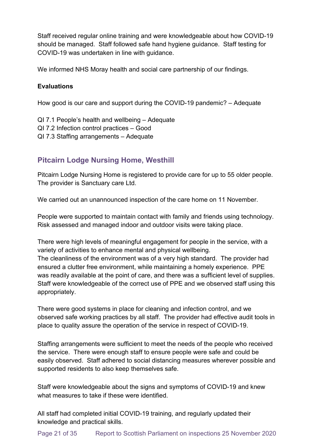Staff received regular online training and were knowledgeable about how COVID-19 should be managed. Staff followed safe hand hygiene guidance. Staff testing for COVID-19 was undertaken in line with guidance.

We informed NHS Moray health and social care partnership of our findings.

### **Evaluations**

How good is our care and support during the COVID-19 pandemic? – Adequate

QI 7.1 People's health and wellbeing – Adequate

- QI 7.2 Infection control practices Good
- QI 7.3 Staffing arrangements Adequate

## **Pitcairn Lodge Nursing Home, Westhill**

Pitcairn Lodge Nursing Home is registered to provide care for up to 55 older people. The provider is Sanctuary care Ltd.

We carried out an unannounced inspection of the care home on 11 November.

People were supported to maintain contact with family and friends using technology. Risk assessed and managed indoor and outdoor visits were taking place.

There were high levels of meaningful engagement for people in the service, with a variety of activities to enhance mental and physical wellbeing. The cleanliness of the environment was of a very high standard. The provider had ensured a clutter free environment, while maintaining a homely experience. PPE was readily available at the point of care, and there was a sufficient level of supplies. Staff were knowledgeable of the correct use of PPE and we observed staff using this appropriately.

There were good systems in place for cleaning and infection control, and we observed safe working practices by all staff. The provider had effective audit tools in place to quality assure the operation of the service in respect of COVID-19.

Staffing arrangements were sufficient to meet the needs of the people who received the service. There were enough staff to ensure people were safe and could be easily observed. Staff adhered to social distancing measures wherever possible and supported residents to also keep themselves safe.

Staff were knowledgeable about the signs and symptoms of COVID-19 and knew what measures to take if these were identified.

All staff had completed initial COVID-19 training, and regularly updated their knowledge and practical skills.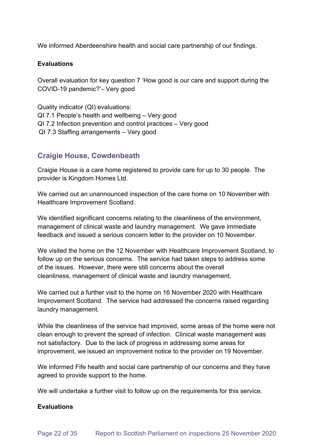We informed Aberdeenshire health and social care partnership of our findings.

#### **Evaluations**

Overall evaluation for key question 7 'How good is our care and support during the COVID-19 pandemic?'– Very good

Quality indicator (QI) evaluations: QI 7.1 People's health and wellbeing – Very good QI 7.2 Infection prevention and control practices – Very good  QI 7.3 Staffing arrangements – Very good

### **Craigie House, Cowdenbeath**

Craigie House is a care home registered to provide care for up to 30 people. The provider is Kingdom Homes Ltd.

We carried out an unannounced inspection of the care home on 10 November with Healthcare Improvement Scotland.

We identified significant concerns relating to the cleanliness of the environment, management of clinical waste and laundry management. We gave immediate feedback and issued a serious concern letter to the provider on 10 November.

We visited the home on the 12 November with Healthcare Improvement Scotland, to follow up on the serious concerns. The service had taken steps to address some of the issues. However, there were still concerns about the overall cleanliness, management of clinical waste and laundry management.

We carried out a further visit to the home on 16 November 2020 with Healthcare Improvement Scotland. The service had addressed the concerns raised regarding laundry management.

While the cleanliness of the service had improved, some areas of the home were not clean enough to prevent the spread of infection. Clinical waste management was not satisfactory. Due to the lack of progress in addressing some areas for improvement, we issued an improvement notice to the provider on 19 November.

We informed Fife health and social care partnership of our concerns and they have agreed to provide support to the home.

We will undertake a further visit to follow up on the requirements for this service.

### **Evaluations**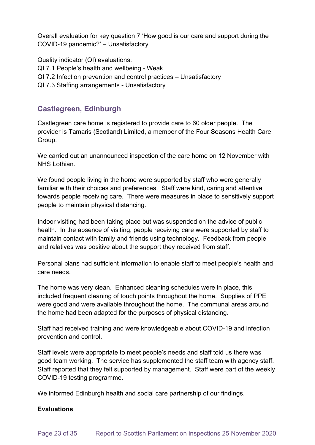Overall evaluation for key question 7 'How good is our care and support during the COVID-19 pandemic?' – Unsatisfactory

Quality indicator (QI) evaluations: QI 7.1 People's health and wellbeing - Weak QI 7.2 Infection prevention and control practices – Unsatisfactory QI 7.3 Staffing arrangements - Unsatisfactory

## **Castlegreen, Edinburgh**

Castlegreen care home is registered to provide care to 60 older people. The provider is Tamaris (Scotland) Limited, a member of the Four Seasons Health Care Group.

We carried out an unannounced inspection of the care home on 12 November with NHS Lothian.

We found people living in the home were supported by staff who were generally familiar with their choices and preferences. Staff were kind, caring and attentive towards people receiving care. There were measures in place to sensitively support people to maintain physical distancing.

Indoor visiting had been taking place but was suspended on the advice of public health. In the absence of visiting, people receiving care were supported by staff to maintain contact with family and friends using technology. Feedback from people and relatives was positive about the support they received from staff.

Personal plans had sufficient information to enable staff to meet people's health and care needs.

The home was very clean. Enhanced cleaning schedules were in place, this included frequent cleaning of touch points throughout the home. Supplies of PPE were good and were available throughout the home. The communal areas around the home had been adapted for the purposes of physical distancing.

Staff had received training and were knowledgeable about COVID-19 and infection prevention and control.

Staff levels were appropriate to meet people's needs and staff told us there was good team working. The service has supplemented the staff team with agency staff. Staff reported that they felt supported by management. Staff were part of the weekly COVID-19 testing programme.

We informed Edinburgh health and social care partnership of our findings.

### **Evaluations**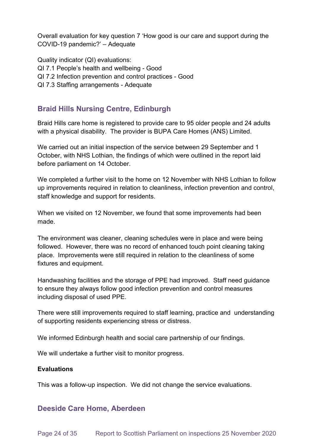Overall evaluation for key question 7 'How good is our care and support during the COVID-19 pandemic?' – Adequate

Quality indicator (QI) evaluations: QI 7.1 People's health and wellbeing - Good QI 7.2 Infection prevention and control practices - Good QI 7.3 Staffing arrangements - Adequate

## **Braid Hills Nursing Centre, Edinburgh**

Braid Hills care home is registered to provide care to 95 older people and 24 adults with a physical disability. The provider is BUPA Care Homes (ANS) Limited.

We carried out an initial inspection of the service between 29 September and 1 October, with NHS Lothian, the findings of which were outlined in the report laid before parliament on 14 October.

We completed a further visit to the home on 12 November with NHS Lothian to follow up improvements required in relation to cleanliness, infection prevention and control, staff knowledge and support for residents.

When we visited on 12 November, we found that some improvements had been made.

The environment was cleaner, cleaning schedules were in place and were being followed. However, there was no record of enhanced touch point cleaning taking place. Improvements were still required in relation to the cleanliness of some fixtures and equipment.

Handwashing facilities and the storage of PPE had improved. Staff need guidance to ensure they always follow good infection prevention and control measures including disposal of used PPE.

There were still improvements required to staff learning, practice and understanding of supporting residents experiencing stress or distress.

We informed Edinburgh health and social care partnership of our findings.

We will undertake a further visit to monitor progress.

### **Evaluations**

This was a follow-up inspection. We did not change the service evaluations.

## **Deeside Care Home, Aberdeen**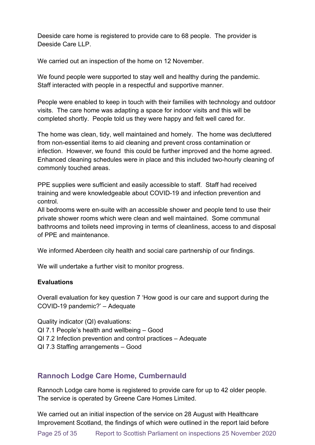Deeside care home is registered to provide care to 68 people. The provider is Deeside Care LLP

We carried out an inspection of the home on 12 November.

We found people were supported to stay well and healthy during the pandemic. Staff interacted with people in a respectful and supportive manner.

People were enabled to keep in touch with their families with technology and outdoor visits. The care home was adapting a space for indoor visits and this will be completed shortly. People told us they were happy and felt well cared for.

The home was clean, tidy, well maintained and homely. The home was decluttered from non-essential items to aid cleaning and prevent cross contamination or infection. However, we found this could be further improved and the home agreed. Enhanced cleaning schedules were in place and this included two-hourly cleaning of commonly touched areas.

PPE supplies were sufficient and easily accessible to staff. Staff had received training and were knowledgeable about COVID-19 and infection prevention and control.

All bedrooms were en-suite with an accessible shower and people tend to use their private shower rooms which were clean and well maintained. Some communal bathrooms and toilets need improving in terms of cleanliness, access to and disposal of PPE and maintenance.

We informed Aberdeen city health and social care partnership of our findings.

We will undertake a further visit to monitor progress.

#### **Evaluations**

Overall evaluation for key question 7 'How good is our care and support during the COVID-19 pandemic?' – Adequate

Quality indicator (QI) evaluations: QI 7.1 People's health and wellbeing – Good QI 7.2 Infection prevention and control practices – Adequate QI 7.3 Staffing arrangements – Good

## **Rannoch Lodge Care Home, Cumbernauld**

Rannoch Lodge care home is registered to provide care for up to 42 older people.  The service is operated by Greene Care Homes Limited.

We carried out an initial inspection of the service on 28 August with Healthcare Improvement Scotland, the findings of which were outlined in the report laid before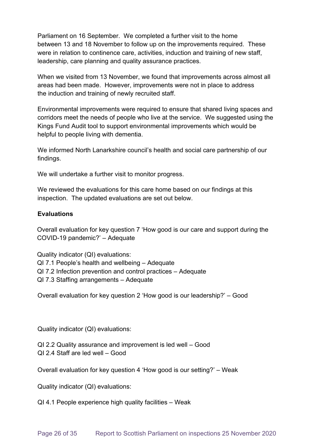Parliament on 16 September. We completed a further visit to the home between 13 and 18 November to follow up on the improvements required. These were in relation to continence care, activities, induction and training of new staff, leadership, care planning and quality assurance practices.

When we visited from 13 November, we found that improvements across almost all areas had been made. However, improvements were not in place to address the induction and training of newly recruited staff.

Environmental improvements were required to ensure that shared living spaces and corridors meet the needs of people who live at the service. We suggested using the Kings Fund Audit tool to support environmental improvements which would be helpful to people living with dementia.

We informed North Lanarkshire council's health and social care partnership of our findings.

We will undertake a further visit to monitor progress.

We reviewed the evaluations for this care home based on our findings at this inspection. The updated evaluations are set out below.

### **Evaluations**

Overall evaluation for key question 7 'How good is our care and support during the COVID-19 pandemic?' – Adequate

Quality indicator (QI) evaluations:

- QI 7.1 People's health and wellbeing Adequate
- QI 7.2 Infection prevention and control practices Adequate
- QI 7.3 Staffing arrangements Adequate

Overall evaluation for key question 2 'How good is our leadership?' – Good

Quality indicator (QI) evaluations: 

QI 2.2 Quality assurance and improvement is led well – Good QI 2.4 Staff are led well – Good

Overall evaluation for key question 4 'How good is our setting?' – Weak

Quality indicator (QI) evaluations: 

QI 4.1 People experience high quality facilities – Weak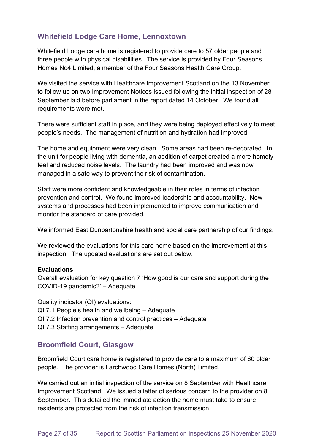## **Whitefield Lodge Care Home, Lennoxtown**

Whitefield Lodge care home is registered to provide care to 57 older people and three people with physical disabilities. The service is provided by Four Seasons Homes No4 Limited, a member of the Four Seasons Health Care Group.

We visited the service with Healthcare Improvement Scotland on the 13 November to follow up on two Improvement Notices issued following the initial inspection of 28 September laid before parliament in the report dated 14 October. We found all requirements were met.

There were sufficient staff in place, and they were being deployed effectively to meet people's needs. The management of nutrition and hydration had improved.

The home and equipment were very clean. Some areas had been re-decorated. In the unit for people living with dementia, an addition of carpet created a more homely feel and reduced noise levels. The laundry had been improved and was now managed in a safe way to prevent the risk of contamination.

Staff were more confident and knowledgeable in their roles in terms of infection prevention and control. We found improved leadership and accountability. New systems and processes had been implemented to improve communication and monitor the standard of care provided.

We informed East Dunbartonshire health and social care partnership of our findings.

We reviewed the evaluations for this care home based on the improvement at this inspection. The updated evaluations are set out below.

#### **Evaluations**

Overall evaluation for key question 7 'How good is our care and support during the COVID-19 pandemic?' – Adequate

Quality indicator (QI) evaluations: QI 7.1 People's health and wellbeing – Adequate QI 7.2 Infection prevention and control practices – Adequate QI 7.3 Staffing arrangements – Adequate

## **Broomfield Court, Glasgow**

Broomfield Court care home is registered to provide care to a maximum of 60 older people. The provider is Larchwood Care Homes (North) Limited.

We carried out an initial inspection of the service on 8 September with Healthcare Improvement Scotland. We issued a letter of serious concern to the provider on 8 September. This detailed the immediate action the home must take to ensure residents are protected from the risk of infection transmission.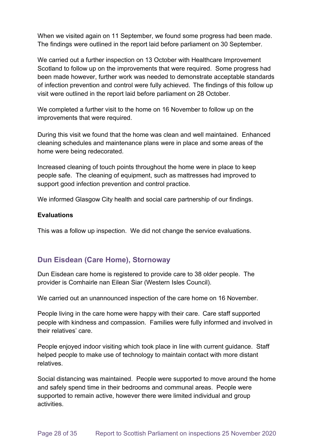When we visited again on 11 September, we found some progress had been made. The findings were outlined in the report laid before parliament on 30 September.

We carried out a further inspection on 13 October with Healthcare Improvement Scotland to follow up on the improvements that were required. Some progress had been made however, further work was needed to demonstrate acceptable standards of infection prevention and control were fully achieved. The findings of this follow up visit were outlined in the report laid before parliament on 28 October.

We completed a further visit to the home on 16 November to follow up on the improvements that were required.

During this visit we found that the home was clean and well maintained. Enhanced cleaning schedules and maintenance plans were in place and some areas of the home were being redecorated.

Increased cleaning of touch points throughout the home were in place to keep people safe. The cleaning of equipment, such as mattresses had improved to support good infection prevention and control practice.

We informed Glasgow City health and social care partnership of our findings.

#### **Evaluations**

This was a follow up inspection. We did not change the service evaluations.

## **Dun Eisdean (Care Home), Stornoway**

Dun Eisdean care home is registered to provide care to 38 older people. The provider is Comhairle nan Eilean Siar (Western Isles Council).

We carried out an unannounced inspection of the care home on 16 November.

People living in the care home were happy with their care. Care staff supported people with kindness and compassion. Families were fully informed and involved in their relatives' care.

People enjoyed indoor visiting which took place in line with current guidance. Staff helped people to make use of technology to maintain contact with more distant relatives.

Social distancing was maintained. People were supported to move around the home and safely spend time in their bedrooms and communal areas. People were supported to remain active, however there were limited individual and group activities.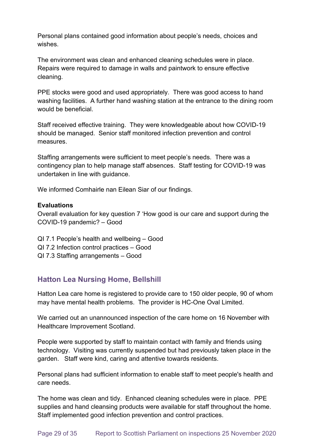Personal plans contained good information about people's needs, choices and wishes.

The environment was clean and enhanced cleaning schedules were in place. Repairs were required to damage in walls and paintwork to ensure effective cleaning.

PPE stocks were good and used appropriately. There was good access to hand washing facilities. A further hand washing station at the entrance to the dining room would be beneficial.

Staff received effective training. They were knowledgeable about how COVID-19 should be managed. Senior staff monitored infection prevention and control measures.

Staffing arrangements were sufficient to meet people's needs. There was a contingency plan to help manage staff absences. Staff testing for COVID-19 was undertaken in line with guidance.

We informed Comhairle nan Eilean Siar of our findings.

#### **Evaluations**

Overall evaluation for key question 7 'How good is our care and support during the COVID-19 pandemic? – Good

- QI 7.1 People's health and wellbeing Good
- QI 7.2 Infection control practices Good
- QI 7.3 Staffing arrangements Good

## **Hatton Lea Nursing Home, Bellshill**

Hatton Lea care home is registered to provide care to 150 older people, 90 of whom may have mental health problems. The provider is HC-One Oval Limited.

We carried out an unannounced inspection of the care home on 16 November with Healthcare Improvement Scotland.

People were supported by staff to maintain contact with family and friends using technology. Visiting was currently suspended but had previously taken place in the garden. Staff were kind, caring and attentive towards residents.

Personal plans had sufficient information to enable staff to meet people's health and care needs.

The home was clean and tidy. Enhanced cleaning schedules were in place. PPE supplies and hand cleansing products were available for staff throughout the home. Staff implemented good infection prevention and control practices.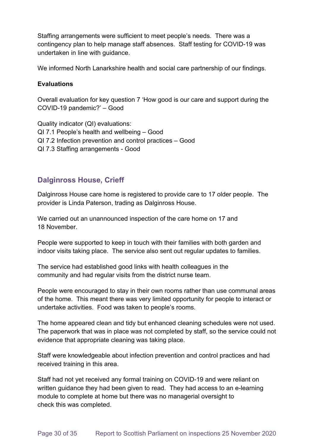Staffing arrangements were sufficient to meet people's needs. There was a contingency plan to help manage staff absences. Staff testing for COVID-19 was undertaken in line with guidance.

We informed North Lanarkshire health and social care partnership of our findings.

#### **Evaluations**

Overall evaluation for key question 7 'How good is our care and support during the COVID-19 pandemic?' – Good

Quality indicator (QI) evaluations: QI 7.1 People's health and wellbeing – Good QI 7.2 Infection prevention and control practices – Good QI 7.3 Staffing arrangements - Good

### **Dalginross House, Crieff**

Dalginross House care home is registered to provide care to 17 older people. The provider is Linda Paterson, trading as Dalginross House.

We carried out an unannounced inspection of the care home on 17 and 18 November.

People were supported to keep in touch with their families with both garden and indoor visits taking place. The service also sent out regular updates to families.

The service had established good links with health colleagues in the community and had regular visits from the district nurse team.

People were encouraged to stay in their own rooms rather than use communal areas of the home. This meant there was very limited opportunity for people to interact or undertake activities. Food was taken to people's rooms.

The home appeared clean and tidy but enhanced cleaning schedules were not used. The paperwork that was in place was not completed by staff, so the service could not evidence that appropriate cleaning was taking place.

Staff were knowledgeable about infection prevention and control practices and had received training in this area.

Staff had not yet received any formal training on COVID-19 and were reliant on written guidance they had been given to read. They had access to an e-learning module to complete at home but there was no managerial oversight to check this was completed.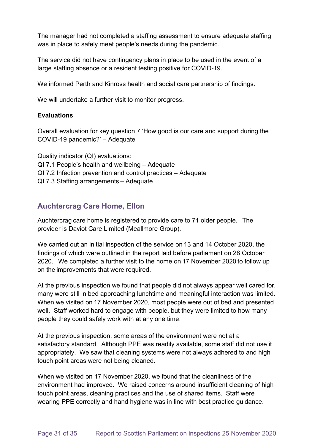The manager had not completed a staffing assessment to ensure adequate staffing was in place to safely meet people's needs during the pandemic.

The service did not have contingency plans in place to be used in the event of a large staffing absence or a resident testing positive for COVID-19.

We informed Perth and Kinross health and social care partnership of findings.

We will undertake a further visit to monitor progress.

#### **Evaluations**

Overall evaluation for key question 7 'How good is our care and support during the COVID-19 pandemic?' – Adequate

Quality indicator (QI) evaluations: QI 7.1 People's health and wellbeing – Adequate QI 7.2 Infection prevention and control practices – Adequate QI 7.3 Staffing arrangements – Adequate

## **Auchtercrag Care Home, Ellon**

Auchtercrag care home is registered to provide care to 71 older people.  The provider is Daviot Care Limited (Meallmore Group).

We carried out an initial inspection of the service on 13 and 14 October 2020, the findings of which were outlined in the report laid before parliament on 28 October 2020.  We completed a further visit to the home on 17 November 2020 to follow up on the improvements that were required.

At the previous inspection we found that people did not always appear well cared for, many were still in bed approaching lunchtime and meaningful interaction was limited. When we visited on 17 November 2020, most people were out of bed and presented well. Staff worked hard to engage with people, but they were limited to how many people they could safely work with at any one time.

At the previous inspection, some areas of the environment were not at a satisfactory standard. Although PPE was readily available, some staff did not use it appropriately. We saw that cleaning systems were not always adhered to and high touch point areas were not being cleaned.

When we visited on 17 November 2020, we found that the cleanliness of the environment had improved. We raised concerns around insufficient cleaning of high touch point areas, cleaning practices and the use of shared items. Staff were wearing PPE correctly and hand hygiene was in line with best practice guidance.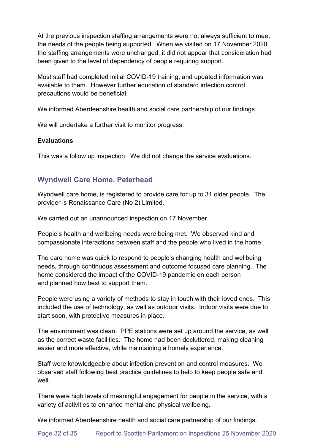At the previous inspection staffing arrangements were not always sufficient to meet the needs of the people being supported. When we visited on 17 November 2020 the staffing arrangements were unchanged, it did not appear that consideration had been given to the level of dependency of people requiring support.

Most staff had completed initial COVID-19 training, and updated information was available to them. However further education of standard infection control precautions would be beneficial.

We informed Aberdeenshire health and social care partnership of our findings 

We will undertake a further visit to monitor progress.

#### **Evaluations**

This was a follow up inspection. We did not change the service evaluations.

### **Wyndwell Care Home, Peterhead**

Wyndwell care home, is registered to provide care for up to 31 older people. The provider is Renaissance Care (No 2) Limited.

We carried out an unannounced inspection on 17 November.

People's health and wellbeing needs were being met. We observed kind and compassionate interactions between staff and the people who lived in the home.

The care home was quick to respond to people's changing health and wellbeing needs, through continuous assessment and outcome focused care planning. The home considered the impact of the COVID-19 pandemic on each person and planned how best to support them.

People were using a variety of methods to stay in touch with their loved ones. This included the use of technology, as well as outdoor visits. Indoor visits were due to start soon, with protective measures in place.

The environment was clean. PPE stations were set up around the service, as well as the correct waste facilities. The home had been decluttered, making cleaning easier and more effective, while maintaining a homely experience.

Staff were knowledgeable about infection prevention and control measures. We observed staff following best practice guidelines to help to keep people safe and well.

There were high levels of meaningful engagement for people in the service, with a variety of activities to enhance mental and physical wellbeing.

We informed Aberdeenshire health and social care partnership of our findings.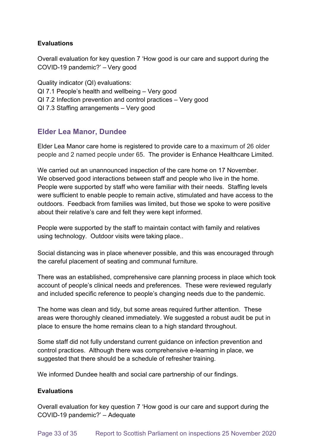### **Evaluations**

Overall evaluation for key question 7 'How good is our care and support during the COVID-19 pandemic?' – Very good

Quality indicator (QI) evaluations: QI 7.1 People's health and wellbeing – Very good QI 7.2 Infection prevention and control practices – Very good QI 7.3 Staffing arrangements – Very good

## **Elder Lea Manor, Dundee**

Elder Lea Manor care home is registered to provide care to a maximum of 26 older people and 2 named people under 65. The provider is Enhance Healthcare Limited.

We carried out an unannounced inspection of the care home on 17 November. We observed good interactions between staff and people who live in the home. People were supported by staff who were familiar with their needs. Staffing levels were sufficient to enable people to remain active, stimulated and have access to the outdoors. Feedback from families was limited, but those we spoke to were positive about their relative's care and felt they were kept informed.

People were supported by the staff to maintain contact with family and relatives using technology. Outdoor visits were taking place..

Social distancing was in place whenever possible, and this was encouraged through the careful placement of seating and communal furniture.

There was an established, comprehensive care planning process in place which took account of people's clinical needs and preferences. These were reviewed regularly and included specific reference to people's changing needs due to the pandemic.

The home was clean and tidy, but some areas required further attention. These areas were thoroughly cleaned immediately. We suggested a robust audit be put in place to ensure the home remains clean to a high standard throughout.

Some staff did not fully understand current guidance on infection prevention and control practices. Although there was comprehensive e-learning in place, we suggested that there should be a schedule of refresher training.

We informed Dundee health and social care partnership of our findings.

### **Evaluations**

Overall evaluation for key question 7 'How good is our care and support during the COVID-19 pandemic?' – Adequate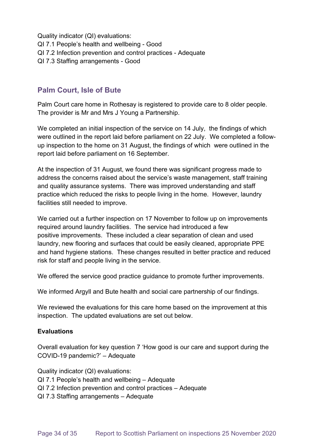Quality indicator (QI) evaluations: QI 7.1 People's health and wellbeing - Good QI 7.2 Infection prevention and control practices - Adequate QI 7.3 Staffing arrangements - Good

## **Palm Court, Isle of Bute**

Palm Court care home in Rothesay is registered to provide care to 8 older people. The provider is Mr and Mrs J Young a Partnership.

We completed an initial inspection of the service on 14 July, the findings of which were outlined in the report laid before parliament on 22 July. We completed a followup inspection to the home on 31 August, the findings of which were outlined in the report laid before parliament on 16 September.

At the inspection of 31 August, we found there was significant progress made to address the concerns raised about the service's waste management, staff training and quality assurance systems. There was improved understanding and staff practice which reduced the risks to people living in the home. However, laundry facilities still needed to improve.

We carried out a further inspection on 17 November to follow up on improvements required around laundry facilities. The service had introduced a few positive improvements. These included a clear separation of clean and used laundry, new flooring and surfaces that could be easily cleaned, appropriate PPE and hand hygiene stations. These changes resulted in better practice and reduced risk for staff and people living in the service.

We offered the service good practice guidance to promote further improvements.

We informed Argyll and Bute health and social care partnership of our findings.

We reviewed the evaluations for this care home based on the improvement at this inspection. The updated evaluations are set out below.

### **Evaluations**

Overall evaluation for key question 7 'How good is our care and support during the COVID-19 pandemic?' – Adequate

Quality indicator (QI) evaluations:

- QI 7.1 People's health and wellbeing Adequate
- QI 7.2 Infection prevention and control practices Adequate
- QI 7.3 Staffing arrangements Adequate